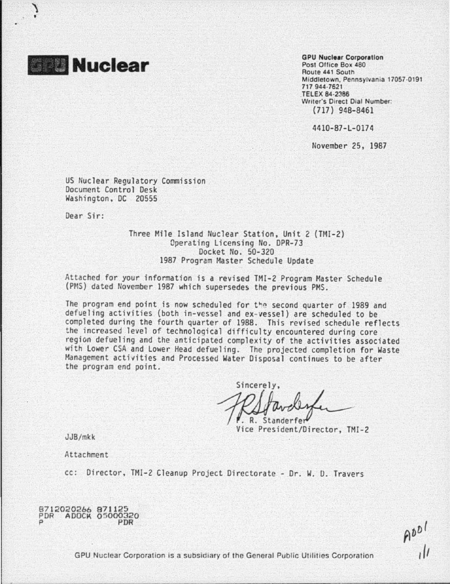

'\ •

> GPU Nuclear Corporation Post Office Box 480 Route 441 South Middletown, Pennsylvania 17057·0191 717 944·7621 .TELEX 84·2386 Writer's Direct Dial Number: (717) 948-8461

4410-87-L-0174

November 25, 1987

US Nuclear Regulatory Commission Document Control Desk Washington, DC 20555

Dear Sir:

Three Mile Island Nuclear Station, Unit *2* (TMI-2) Operating Licensing No. DPR-73 Docket No. 50-320 1987 Program Master Schedule Update

Attached for your information is a revised TMI-2 Program Master Schedule (PHS) dated November 1987 which supersedes the previous PMS.

The program end point is now scheduled for the second quarter of 1989 and defueling activities (both in-vessel and ex-vessel) are scheduled to be completed during the fourth quarter of 1988. This revised schedule reflects the increased level of technological difficulty encountered during core region defueling and the anticipated complexity of the activities associated with lower CSA and lower Head defueling. The projected completion for Waste Management activities and Processed Water Disposal continues to be after the program end point.

Sincerely, . R. Standerfe

Vice President/Director, TMI-2

JJB/mkk

Attachment

cc: Director, TMI-2 Cleanup Project Directorate - Or. W. 0. Travers

8712020266 871125 PDR AOOCK 0 5000320 p PDR

 $A001$ 

GPU Nuclear Corporation is a subsidiary of the General Public Utilities Corporation